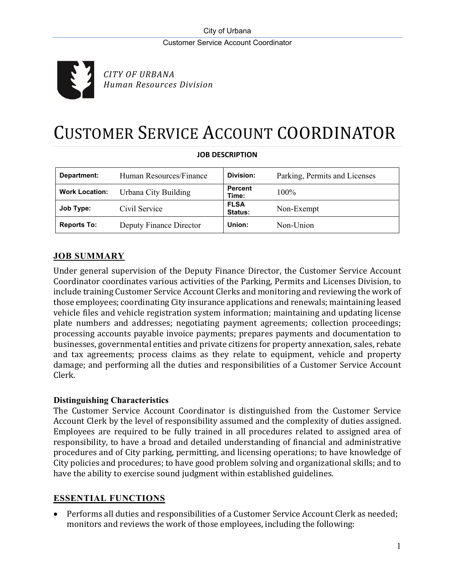

*CITY OF URBANA Human Resources Division*

# CUSTOMER SERVICE ACCOUNT COORDINATOR

| Department:           | Human Resources/Finance | Division:               | Parking, Permits and Licenses |
|-----------------------|-------------------------|-------------------------|-------------------------------|
| <b>Work Location:</b> | Urbana City Building    | <b>Percent</b><br>Time: | $100\%$                       |
| Job Type:             | Civil Service           | <b>FLSA</b><br>Status:  | Non-Exempt                    |
| <b>Reports To:</b>    | Deputy Finance Director | Union:                  | Non-Union                     |

## **JOB DESCRIPTION**

# **JOB SUMMARY**

Under general supervision of the Deputy Finance Director, the Customer Service Account Coordinator coordinates various activities of the Parking, Permits and Licenses Division, to include training Customer Service Account Clerks and monitoring and reviewing the work of those employees; coordinating City insurance applications and renewals; maintaining leased vehicle files and vehicle registration system information; maintaining and updating license plate numbers and addresses; negotiating payment agreements; collection proceedings; processing accounts payable invoice payments; prepares payments and documentation to businesses, governmental entities and private citizens for property annexation, sales, rebate and tax agreements; process claims as they relate to equipment, vehicle and property damage; and performing all the duties and responsibilities of a Customer Service Account Clerk.

# **Distinguishing Characteristics**

The Customer Service Account Coordinator is distinguished from the Customer Service Account Clerk by the level of responsibility assumed and the complexity of duties assigned. Employees are required to be fully trained in all procedures related to assigned area of responsibility, to have a broad and detailed understanding of financial and administrative procedures and of City parking, permitting, and licensing operations; to have knowledge of City policies and procedures; to have good problem solving and organizational skills; and to have the ability to exercise sound judgment within established guidelines.

# **ESSENTIAL FUNCTIONS**

• Performs all duties and responsibilities of a Customer Service Account Clerk as needed; monitors and reviews the work of those employees, including the following: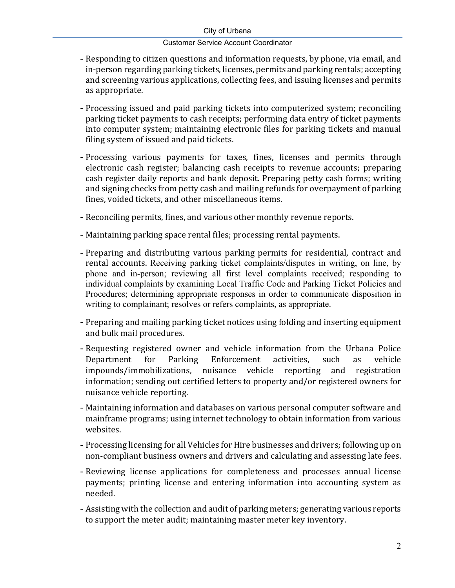#### City of Urbana

#### Customer Service Account Coordinator

- Responding to citizen questions and information requests, by phone, via email, and in-person regarding parking tickets, licenses, permits and parking rentals; accepting and screening various applications, collecting fees, and issuing licenses and permits as appropriate.
- Processing issued and paid parking tickets into computerized system; reconciling parking ticket payments to cash receipts; performing data entry of ticket payments into computer system; maintaining electronic files for parking tickets and manual filing system of issued and paid tickets.
- Processing various payments for taxes, fines, licenses and permits through electronic cash register; balancing cash receipts to revenue accounts; preparing cash register daily reports and bank deposit. Preparing petty cash forms; writing and signing checks from petty cash and mailing refunds for overpayment of parking fines, voided tickets, and other miscellaneous items.
- Reconciling permits, fines, and various other monthly revenue reports.
- Maintaining parking space rental files; processing rental payments.
- Preparing and distributing various parking permits for residential, contract and rental accounts. Receiving parking ticket complaints/disputes in writing, on line, by phone and in-person; reviewing all first level complaints received; responding to individual complaints by examining Local Traffic Code and Parking Ticket Policies and Procedures; determining appropriate responses in order to communicate disposition in writing to complainant; resolves or refers complaints, as appropriate.
- Preparing and mailing parking ticket notices using folding and inserting equipment and bulk mail procedures.
- Requesting registered owner and vehicle information from the Urbana Police<br>Department for Parking Enforcement activities, such as vehicle Enforcement activities, such as vehicle<br>uisance vehicle reporting and registration impounds/immobilizations, nuisance vehicle reporting information; sending out certified letters to property and/or registered owners for nuisance vehicle reporting.
- Maintaining information and databases on various personal computer software and mainframe programs; using internet technology to obtain information from various websites.
- Processing licensing for all Vehicles for Hire businesses and drivers; following up on non-compliant business owners and drivers and calculating and assessing late fees.
- Reviewing license applications for completeness and processes annual license payments; printing license and entering information into accounting system as needed.
- Assisting with the collection and audit of parking meters; generating various reports to support the meter audit; maintaining master meter key inventory.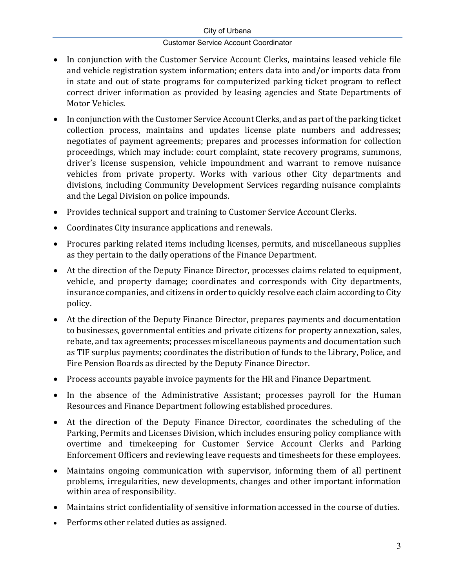#### City of Urbana

## Customer Service Account Coordinator

- In conjunction with the Customer Service Account Clerks, maintains leased vehicle file and vehicle registration system information; enters data into and/or imports data from in state and out of state programs for computerized parking ticket program to reflect correct driver information as provided by leasing agencies and State Departments of Motor Vehicles.
- In conjunction with the Customer Service Account Clerks, and as part of the parking ticket collection process, maintains and updates license plate numbers and addresses; negotiates of payment agreements; prepares and processes information for collection proceedings, which may include: court complaint, state recovery programs, summons, driver's license suspension, vehicle impoundment and warrant to remove nuisance vehicles from private property. Works with various other City departments and divisions, including Community Development Services regarding nuisance complaints and the Legal Division on police impounds.
- Provides technical support and training to Customer Service Account Clerks.
- Coordinates City insurance applications and renewals.
- Procures parking related items including licenses, permits, and miscellaneous supplies as they pertain to the daily operations of the Finance Department.
- At the direction of the Deputy Finance Director, processes claims related to equipment, vehicle, and property damage; coordinates and corresponds with City departments, insurance companies, and citizens in order to quickly resolve each claim according to City policy.
- At the direction of the Deputy Finance Director, prepares payments and documentation to businesses, governmental entities and private citizens for property annexation, sales, rebate, and tax agreements; processes miscellaneous payments and documentation such as TIF surplus payments; coordinates the distribution of funds to the Library, Police, and Fire Pension Boards as directed by the Deputy Finance Director.
- Process accounts payable invoice payments for the HR and Finance Department.
- In the absence of the Administrative Assistant; processes payroll for the Human Resources and Finance Department following established procedures.
- At the direction of the Deputy Finance Director, coordinates the scheduling of the Parking, Permits and Licenses Division, which includes ensuring policy compliance with overtime and timekeeping for Customer Service Account Clerks and Parking Enforcement Officers and reviewing leave requests and timesheets for these employees.
- Maintains ongoing communication with supervisor, informing them of all pertinent problems, irregularities, new developments, changes and other important information within area of responsibility.
- Maintains strict confidentiality of sensitive information accessed in the course of duties.
- Performs other related duties as assigned.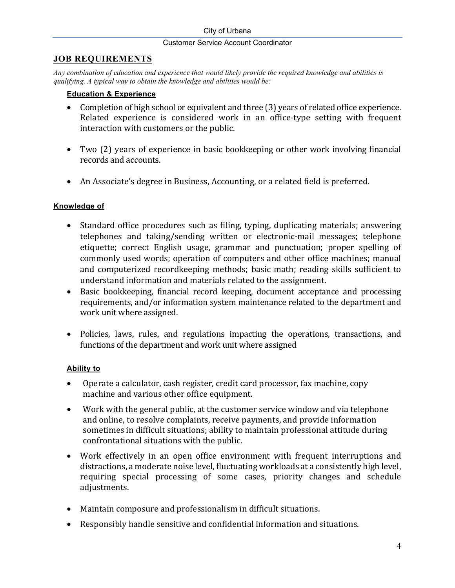## **JOB REQUIREMENTS**

*Any combination of education and experience that would likely provide the required knowledge and abilities is qualifying. A typical way to obtain the knowledge and abilities would be:*

## **Education & Experience**

- Completion of high school or equivalent and three (3) years of related office experience. Related experience is considered work in an office-type setting with frequent interaction with customers or the public.
- Two (2) years of experience in basic bookkeeping or other work involving financial records and accounts.
- An Associate's degree in Business, Accounting, or a related field is preferred.

# **Knowledge of**

- Standard office procedures such as filing, typing, duplicating materials; answering telephones and taking/sending written or electronic-mail messages; telephone etiquette; correct English usage, grammar and punctuation; proper spelling of commonly used words; operation of computers and other office machines; manual and computerized recordkeeping methods; basic math; reading skills sufficient to understand information and materials related to the assignment.
- Basic bookkeeping, financial record keeping, document acceptance and processing requirements, and/or information system maintenance related to the department and work unit where assigned.
- Policies, laws, rules, and regulations impacting the operations, transactions, and functions of the department and work unit where assigned

# **Ability to**

- Operate a calculator, cash register, credit card processor, fax machine, copy machine and various other office equipment.
- Work with the general public, at the customer service window and via telephone and online, to resolve complaints, receive payments, and provide information sometimes in difficult situations; ability to maintain professional attitude during confrontational situations with the public.
- Work effectively in an open office environment with frequent interruptions and distractions, a moderate noise level, fluctuating workloads at a consistently high level, requiring special processing of some cases, priority changes and schedule adjustments.
- Maintain composure and professionalism in difficult situations.
- Responsibly handle sensitive and confidential information and situations.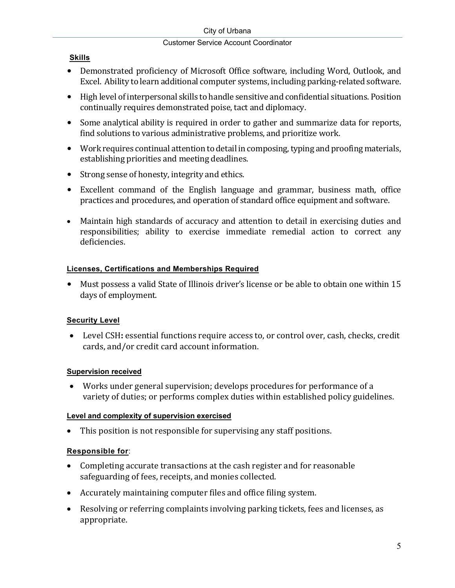# **Skills**

- Demonstrated proficiency of Microsoft Office software, including Word, Outlook, and Excel. Ability to learn additional computer systems, including parking-related software.
- High level of interpersonal skills to handle sensitive and confidential situations. Position continually requires demonstrated poise, tact and diplomacy.
- Some analytical ability is required in order to gather and summarize data for reports, find solutions to various administrative problems, and prioritize work.
- Work requires continual attention to detail in composing, typing and proofing materials, establishing priorities and meeting deadlines.
- Strong sense of honesty, integrity and ethics.
- Excellent command of the English language and grammar, business math, office practices and procedures, and operation of standard office equipment and software.
- Maintain high standards of accuracy and attention to detail in exercising duties and responsibilities; ability to exercise immediate remedial action to correct any deficiencies.

# **Licenses, Certifications and Memberships Required**

• Must possess a valid State of Illinois driver's license or be able to obtain one within 15 days of employment.

# **Security Level**

• Level CSH**:** essential functions require access to, or control over, cash, checks, credit cards, and/or credit card account information.

# **Supervision received**

• Works under general supervision; develops procedures for performance of a variety of duties; or performs complex duties within established policy guidelines.

# **Level and complexity of supervision exercised**

• This position is not responsible for supervising any staff positions.

# **Responsible for**:

- Completing accurate transactions at the cash register and for reasonable safeguarding of fees, receipts, and monies collected.
- Accurately maintaining computer files and office filing system.
- Resolving or referring complaints involving parking tickets, fees and licenses, as appropriate.